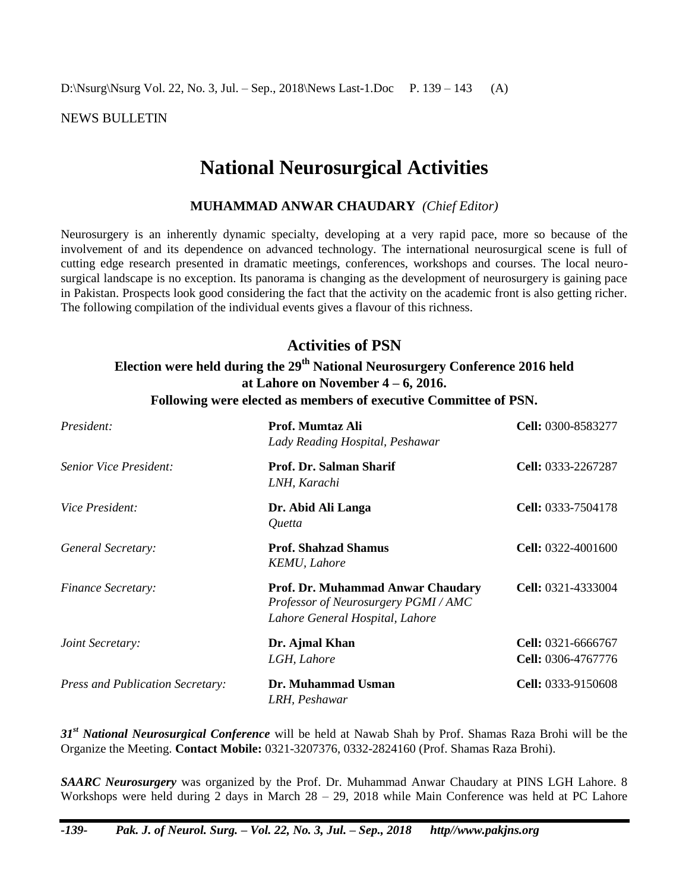D:\Nsurg\Nsurg Vol. 22, No. 3, Jul. – Sep., 2018\News Last-1.Doc P. 139 – 143 (A)

NEWS BULLETIN

# **National Neurosurgical Activities**

### **MUHAMMAD ANWAR CHAUDARY** *(Chief Editor)*

Neurosurgery is an inherently dynamic specialty, developing at a very rapid pace, more so because of the involvement of and its dependence on advanced technology. The international neurosurgical scene is full of cutting edge research presented in dramatic meetings, conferences, workshops and courses. The local neurosurgical landscape is no exception. Its panorama is changing as the development of neurosurgery is gaining pace in Pakistan. Prospects look good considering the fact that the activity on the academic front is also getting richer. The following compilation of the individual events gives a flavour of this richness.

## **Activities of PSN**

## **Election were held during the 29 th National Neurosurgery Conference 2016 held at Lahore on November 4 – 6, 2016. Following were elected as members of executive Committee of PSN.**

| President:                              | Prof. Mumtaz Ali<br>Lady Reading Hospital, Peshawar                                                        | <b>Cell:</b> 0300-8583277                |
|-----------------------------------------|------------------------------------------------------------------------------------------------------------|------------------------------------------|
| Senior Vice President:                  | Prof. Dr. Salman Sharif<br>LNH, Karachi                                                                    | Cell: 0333-2267287                       |
| <i>Vice President:</i>                  | Dr. Abid Ali Langa<br><i>Ouetta</i>                                                                        | <b>Cell:</b> 0333-7504178                |
| General Secretary:                      | <b>Prof. Shahzad Shamus</b><br>KEMU, Lahore                                                                | <b>Cell:</b> $0322-4001600$              |
| <b>Finance Secretary:</b>               | Prof. Dr. Muhammad Anwar Chaudary<br>Professor of Neurosurgery PGMI/AMC<br>Lahore General Hospital, Lahore | Cell: 0321-4333004                       |
| Joint Secretary:                        | Dr. Ajmal Khan<br>LGH, Lahore                                                                              | Cell: 0321-6666767<br>Cell: 0306-4767776 |
| <b>Press and Publication Secretary:</b> | Dr. Muhammad Usman<br>LRH, Peshawar                                                                        | Cell: 0333-9150608                       |

31<sup>st</sup> National Neurosurgical Conference will be held at Nawab Shah by Prof. Shamas Raza Brohi will be the Organize the Meeting. **Contact Mobile:** 0321-3207376, 0332-2824160 (Prof. Shamas Raza Brohi).

*SAARC Neurosurgery* was organized by the Prof. Dr. Muhammad Anwar Chaudary at PINS LGH Lahore. 8 Workshops were held during 2 days in March 28 – 29, 2018 while Main Conference was held at PC Lahore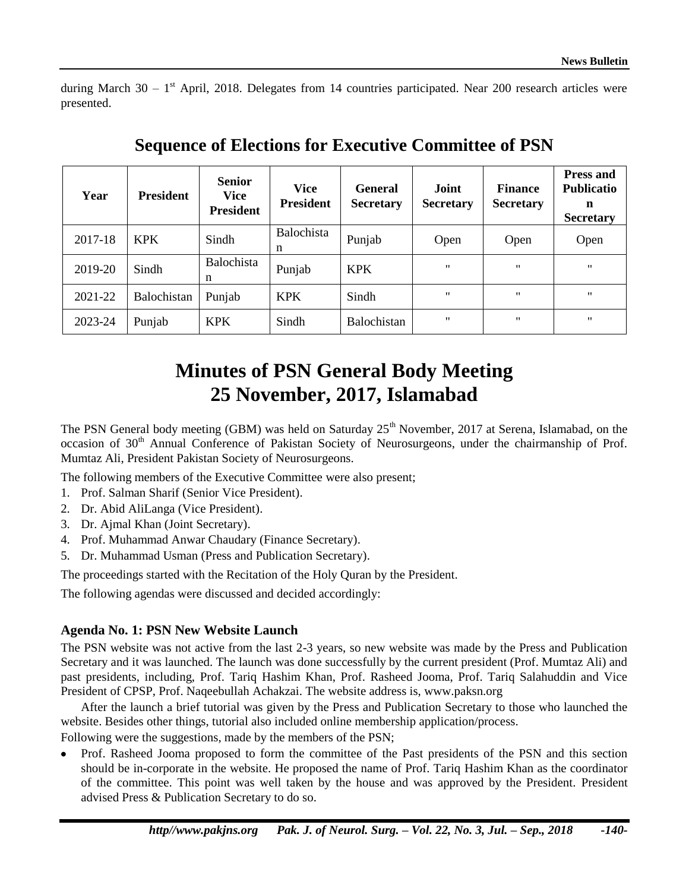during March 30 –  $1<sup>st</sup>$  April, 2018. Delegates from 14 countries participated. Near 200 research articles were presented.

| Year    | <b>President</b> | <b>Senior</b><br><b>Vice</b><br><b>President</b> | <b>Vice</b><br><b>President</b> | <b>General</b><br><b>Secretary</b> | Joint<br><b>Secretary</b> | <b>Finance</b><br><b>Secretary</b> | <b>Press and</b><br><b>Publicatio</b><br>n<br><b>Secretary</b> |
|---------|------------------|--------------------------------------------------|---------------------------------|------------------------------------|---------------------------|------------------------------------|----------------------------------------------------------------|
| 2017-18 | <b>KPK</b>       | Sindh                                            | <b>Balochista</b><br>n          | Punjab                             | Open                      | Open                               | Open                                                           |
| 2019-20 | Sindh            | Balochista<br>n                                  | Punjab                          | <b>KPK</b>                         | $^{\prime\prime}$         | $^{\prime\prime}$                  | $^{\bullet}$                                                   |
| 2021-22 | Balochistan      | Punjab                                           | <b>KPK</b>                      | Sindh                              | $^{\prime}$               | $^{\prime\prime}$                  | $^{\bullet}$                                                   |
| 2023-24 | Punjab           | <b>KPK</b>                                       | Sindh                           | <b>Balochistan</b>                 | $^{\prime\prime}$         | $^{\prime\prime}$                  | $^{\prime\prime}$                                              |

**Sequence of Elections for Executive Committee of PSN**

# **Minutes of PSN General Body Meeting 25 November, 2017, Islamabad**

The PSN General body meeting (GBM) was held on Saturday 25<sup>th</sup> November, 2017 at Serena, Islamabad, on the occasion of 30<sup>th</sup> Annual Conference of Pakistan Society of Neurosurgeons, under the chairmanship of Prof. Mumtaz Ali, President Pakistan Society of Neurosurgeons.

The following members of the Executive Committee were also present;

- 1. Prof. Salman Sharif (Senior Vice President).
- 2. Dr. Abid AliLanga (Vice President).
- 3. Dr. Ajmal Khan (Joint Secretary).
- 4. Prof. Muhammad Anwar Chaudary (Finance Secretary).
- 5. Dr. Muhammad Usman (Press and Publication Secretary).

The proceedings started with the Recitation of the Holy Quran by the President.

The following agendas were discussed and decided accordingly:

#### **Agenda No. 1: PSN New Website Launch**

The PSN website was not active from the last 2-3 years, so new website was made by the Press and Publication Secretary and it was launched. The launch was done successfully by the current president (Prof. Mumtaz Ali) and past presidents, including, Prof. Tariq Hashim Khan, Prof. Rasheed Jooma, Prof. Tariq Salahuddin and Vice President of CPSP, Prof. Naqeebullah Achakzai. The website address is, [www.paksn.org](http://www.paksn.org/)

After the launch a brief tutorial was given by the Press and Publication Secretary to those who launched the website. Besides other things, tutorial also included online membership application/process.

Following were the suggestions, made by the members of the PSN;

Prof. Rasheed Jooma proposed to form the committee of the Past presidents of the PSN and this section should be in-corporate in the website. He proposed the name of Prof. Tariq Hashim Khan as the coordinator of the committee. This point was well taken by the house and was approved by the President. President advised Press & Publication Secretary to do so.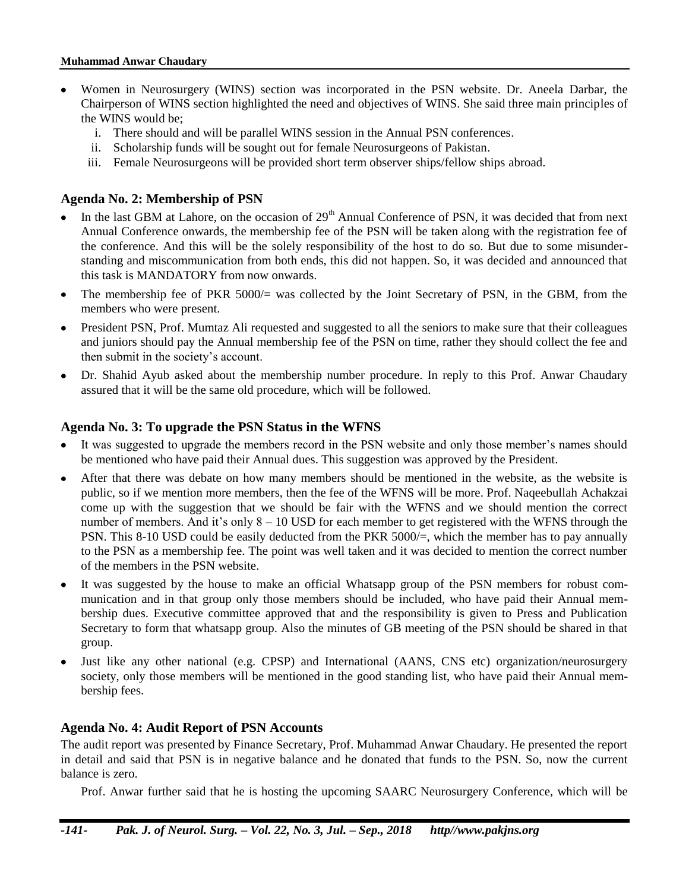#### **Muhammad Anwar Chaudary**

- Women in Neurosurgery (WINS) section was incorporated in the PSN website. Dr. Aneela Darbar, the Chairperson of WINS section highlighted the need and objectives of WINS. She said three main principles of the WINS would be;
	- i. There should and will be parallel WINS session in the Annual PSN conferences.
	- ii. Scholarship funds will be sought out for female Neurosurgeons of Pakistan.
	- iii. Female Neurosurgeons will be provided short term observer ships/fellow ships abroad.

## **Agenda No. 2: Membership of PSN**

- In the last GBM at Lahore, on the occasion of 29<sup>th</sup> Annual Conference of PSN, it was decided that from next Annual Conference onwards, the membership fee of the PSN will be taken along with the registration fee of the conference. And this will be the solely responsibility of the host to do so. But due to some misunderstanding and miscommunication from both ends, this did not happen. So, it was decided and announced that this task is MANDATORY from now onwards.
- The membership fee of PKR 5000/= was collected by the Joint Secretary of PSN, in the GBM, from the members who were present.
- President PSN, Prof. Mumtaz Ali requested and suggested to all the seniors to make sure that their colleagues and juniors should pay the Annual membership fee of the PSN on time, rather they should collect the fee and then submit in the society's account.
- Dr. Shahid Ayub asked about the membership number procedure. In reply to this Prof. Anwar Chaudary assured that it will be the same old procedure, which will be followed.

### **Agenda No. 3: To upgrade the PSN Status in the WFNS**

- It was suggested to upgrade the members record in the PSN website and only those member's names should be mentioned who have paid their Annual dues. This suggestion was approved by the President.
- After that there was debate on how many members should be mentioned in the website, as the website is public, so if we mention more members, then the fee of the WFNS will be more. Prof. Naqeebullah Achakzai come up with the suggestion that we should be fair with the WFNS and we should mention the correct number of members. And it's only  $8 - 10$  USD for each member to get registered with the WFNS through the PSN. This 8-10 USD could be easily deducted from the PKR 5000/=, which the member has to pay annually to the PSN as a membership fee. The point was well taken and it was decided to mention the correct number of the members in the PSN website.
- It was suggested by the house to make an official Whatsapp group of the PSN members for robust communication and in that group only those members should be included, who have paid their Annual membership dues. Executive committee approved that and the responsibility is given to Press and Publication Secretary to form that whatsapp group. Also the minutes of GB meeting of the PSN should be shared in that group.
- Just like any other national (e.g. CPSP) and International (AANS, CNS etc) organization/neurosurgery society, only those members will be mentioned in the good standing list, who have paid their Annual membership fees.

#### **Agenda No. 4: Audit Report of PSN Accounts**

The audit report was presented by Finance Secretary, Prof. Muhammad Anwar Chaudary. He presented the report in detail and said that PSN is in negative balance and he donated that funds to the PSN. So, now the current balance is zero.

Prof. Anwar further said that he is hosting the upcoming SAARC Neurosurgery Conference, which will be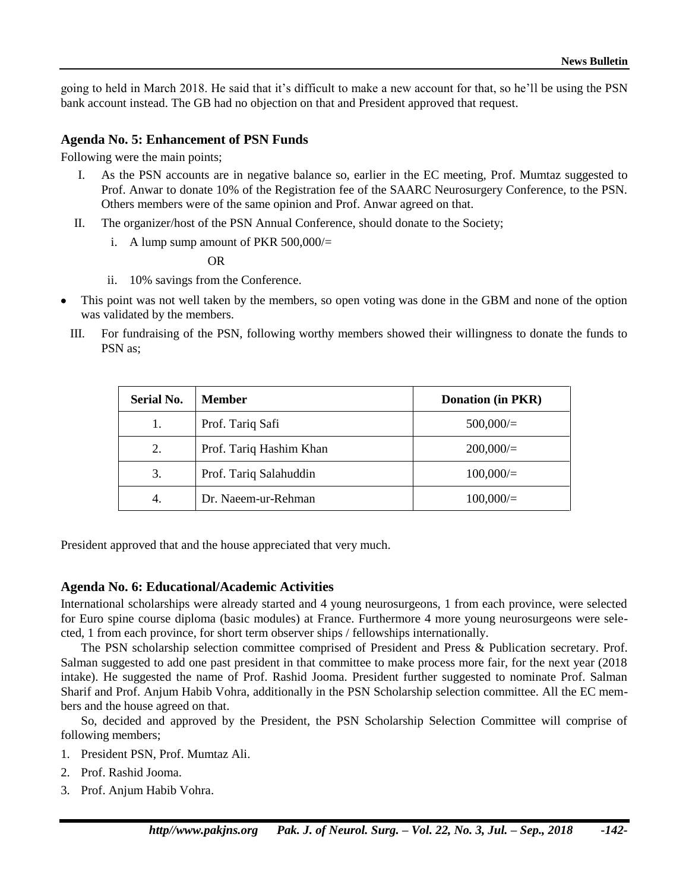going to held in March 2018. He said that it's difficult to make a new account for that, so he'll be using the PSN bank account instead. The GB had no objection on that and President approved that request.

#### **Agenda No. 5: Enhancement of PSN Funds**

Following were the main points;

- I. As the PSN accounts are in negative balance so, earlier in the EC meeting, Prof. Mumtaz suggested to Prof. Anwar to donate 10% of the Registration fee of the SAARC Neurosurgery Conference, to the PSN. Others members were of the same opinion and Prof. Anwar agreed on that.
- II. The organizer/host of the PSN Annual Conference, should donate to the Society;
	- i. A lump sump amount of PKR  $500,000/$

OR

- ii. 10% savings from the Conference.
- This point was not well taken by the members, so open voting was done in the GBM and none of the option was validated by the members.
	- III. For fundraising of the PSN, following worthy members showed their willingness to donate the funds to PSN as;

| <b>Serial No.</b> | <b>Member</b>           | <b>Donation (in PKR)</b> |
|-------------------|-------------------------|--------------------------|
| 1.                | Prof. Tariq Safi        | 500,000/                 |
| 2.                | Prof. Tariq Hashim Khan | 200,000/                 |
| 3.                | Prof. Tariq Salahuddin  | 100,000/                 |
| 4.                | Dr. Naeem-ur-Rehman     | 100,000/                 |

President approved that and the house appreciated that very much.

#### **Agenda No. 6: Educational/Academic Activities**

International scholarships were already started and 4 young neurosurgeons, 1 from each province, were selected for Euro spine course diploma (basic modules) at France. Furthermore 4 more young neurosurgeons were selected, 1 from each province, for short term observer ships / fellowships internationally.

The PSN scholarship selection committee comprised of President and Press & Publication secretary. Prof. Salman suggested to add one past president in that committee to make process more fair, for the next year (2018 intake). He suggested the name of Prof. Rashid Jooma. President further suggested to nominate Prof. Salman Sharif and Prof. Anjum Habib Vohra, additionally in the PSN Scholarship selection committee. All the EC members and the house agreed on that.

So, decided and approved by the President, the PSN Scholarship Selection Committee will comprise of following members;

- 1. President PSN, Prof. Mumtaz Ali.
- 2. Prof. Rashid Jooma.
- 3. Prof. Anjum Habib Vohra.